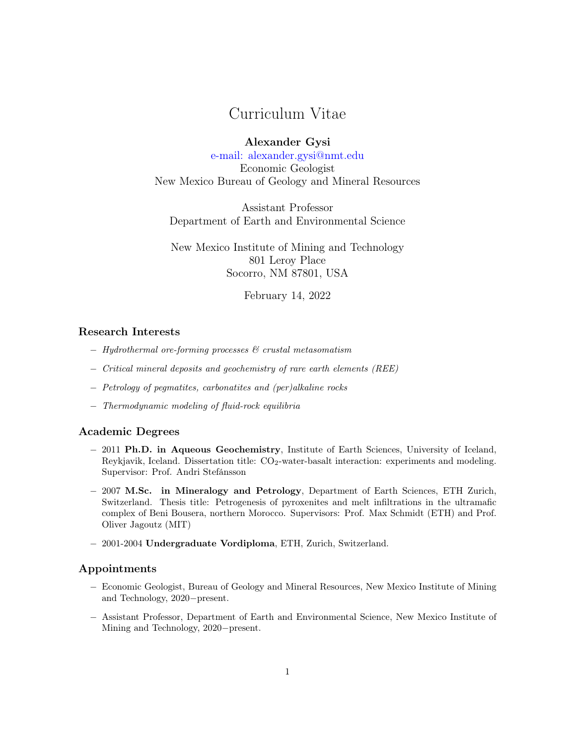# Curriculum Vitae

Alexander Gysi [e-mail: alexander.gysi@nmt.edu](alexander.gysi@nmt.edu) Economic Geologist New Mexico Bureau of Geology and Mineral Resources

Assistant Professor Department of Earth and Environmental Science

New Mexico Institute of Mining and Technology 801 Leroy Place Socorro, NM 87801, USA

February 14, 2022

## Research Interests

- − Hydrothermal ore-forming processes & crustal metasomatism
- − Critical mineral deposits and geochemistry of rare earth elements (REE)
- − Petrology of pegmatites, carbonatites and (per)alkaline rocks
- − Thermodynamic modeling of fluid-rock equilibria

## Academic Degrees

- − 2011 Ph.D. in Aqueous Geochemistry, Institute of Earth Sciences, University of Iceland, Reykjavik, Iceland. Dissertation title:  $CO<sub>2</sub>$ -water-basalt interaction: experiments and modeling. Supervisor: Prof. Andri Stefánsson
- − 2007 M.Sc. in Mineralogy and Petrology, Department of Earth Sciences, ETH Zurich, Switzerland. Thesis title: Petrogenesis of pyroxenites and melt infiltrations in the ultramafic complex of Beni Bousera, northern Morocco. Supervisors: Prof. Max Schmidt (ETH) and Prof. Oliver Jagoutz (MIT)
- − 2001-2004 Undergraduate Vordiploma, ETH, Zurich, Switzerland.

## Appointments

- − Economic Geologist, Bureau of Geology and Mineral Resources, New Mexico Institute of Mining and Technology, 2020−present.
- − Assistant Professor, Department of Earth and Environmental Science, New Mexico Institute of Mining and Technology, 2020−present.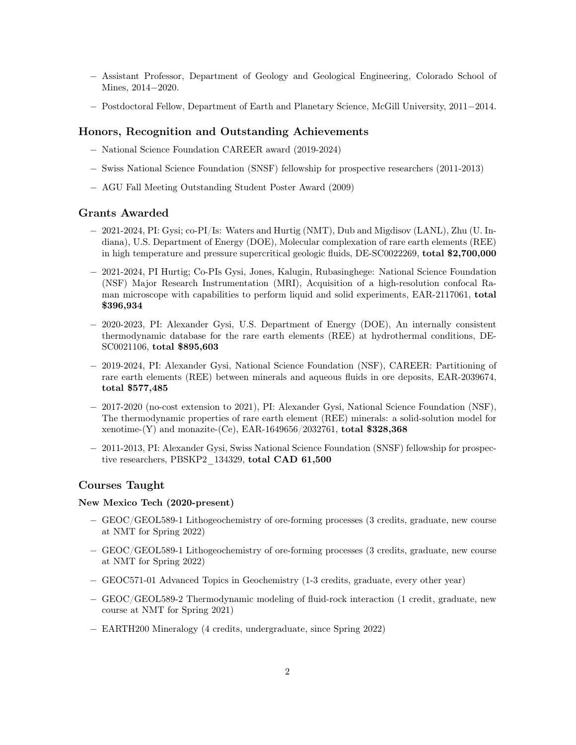- − Assistant Professor, Department of Geology and Geological Engineering, Colorado School of Mines, 2014−2020.
- − Postdoctoral Fellow, Department of Earth and Planetary Science, McGill University, 2011−2014.

## Honors, Recognition and Outstanding Achievements

- − National Science Foundation CAREER award (2019-2024)
- − Swiss National Science Foundation (SNSF) fellowship for prospective researchers (2011-2013)
- − AGU Fall Meeting Outstanding Student Poster Award (2009)

## Grants Awarded

- − 2021-2024, PI: Gysi; co-PI/Is: Waters and Hurtig (NMT), Dub and Migdisov (LANL), Zhu (U. Indiana), U.S. Department of Energy (DOE), Molecular complexation of rare earth elements (REE) in high temperature and pressure supercritical geologic fluids, DE-SC0022269, total \$2,700,000
- − 2021-2024, PI Hurtig; Co-PIs Gysi, Jones, Kalugin, Rubasinghege: National Science Foundation (NSF) Major Research Instrumentation (MRI), Acquisition of a high-resolution confocal Raman microscope with capabilities to perform liquid and solid experiments, EAR-2117061, total \$396,934
- − 2020-2023, PI: Alexander Gysi, U.S. Department of Energy (DOE), An internally consistent thermodynamic database for the rare earth elements (REE) at hydrothermal conditions, DE-SC0021106, total \$895,603
- − 2019-2024, PI: Alexander Gysi, National Science Foundation (NSF), CAREER: Partitioning of rare earth elements (REE) between minerals and aqueous fluids in ore deposits, EAR-2039674, total \$577,485
- − 2017-2020 (no-cost extension to 2021), PI: Alexander Gysi, National Science Foundation (NSF), The thermodynamic properties of rare earth element (REE) minerals: a solid-solution model for xenotime-(Y) and monazite-(Ce), EAR-1649656/2032761, total  $$328,368$
- − 2011-2013, PI: Alexander Gysi, Swiss National Science Foundation (SNSF) fellowship for prospective researchers, PBSKP2 134329, total CAD 61,500

#### Courses Taught

#### New Mexico Tech (2020-present)

- − GEOC/GEOL589-1 Lithogeochemistry of ore-forming processes (3 credits, graduate, new course at NMT for Spring 2022)
- − GEOC/GEOL589-1 Lithogeochemistry of ore-forming processes (3 credits, graduate, new course at NMT for Spring 2022)
- − GEOC571-01 Advanced Topics in Geochemistry (1-3 credits, graduate, every other year)
- − GEOC/GEOL589-2 Thermodynamic modeling of fluid-rock interaction (1 credit, graduate, new course at NMT for Spring 2021)
- − EARTH200 Mineralogy (4 credits, undergraduate, since Spring 2022)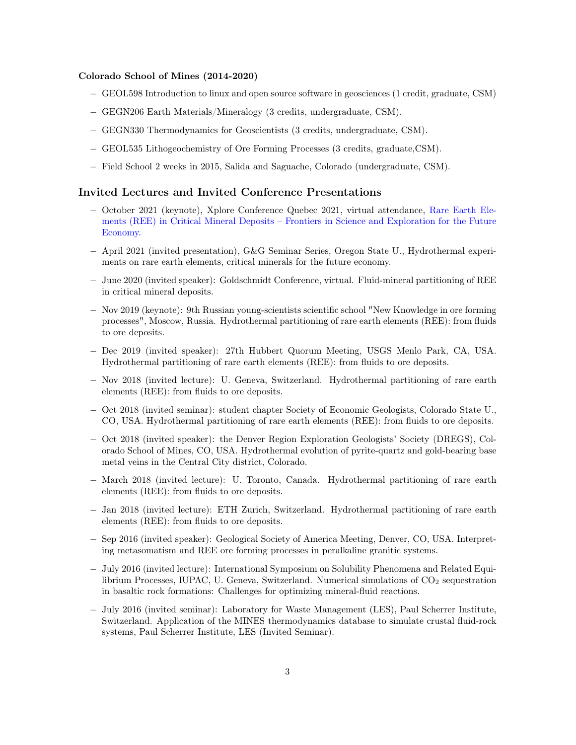## Colorado School of Mines (2014-2020)

- − GEOL598 Introduction to linux and open source software in geosciences (1 credit, graduate, CSM)
- − GEGN206 Earth Materials/Mineralogy (3 credits, undergraduate, CSM).
- − GEGN330 Thermodynamics for Geoscientists (3 credits, undergraduate, CSM).
- − GEOL535 Lithogeochemistry of Ore Forming Processes (3 credits, graduate,CSM).
- − Field School 2 weeks in 2015, Salida and Saguache, Colorado (undergraduate, CSM).

## Invited Lectures and Invited Conference Presentations

- − October 2021 (keynote), Xplore Conference Quebec 2021, virtual attendance, [Rare Earth Ele](https://xplor.aemq.org/en/conferenciers/gysi-alexander/)[ments \(REE\) in Critical Mineral Deposits – Frontiers in Science and Exploration for the Future](https://xplor.aemq.org/en/conferenciers/gysi-alexander/) [Economy.](https://xplor.aemq.org/en/conferenciers/gysi-alexander/)
- − April 2021 (invited presentation), G&G Seminar Series, Oregon State U., Hydrothermal experiments on rare earth elements, critical minerals for the future economy.
- − June 2020 (invited speaker): Goldschmidt Conference, virtual. Fluid-mineral partitioning of REE in critical mineral deposits.
- − Nov 2019 (keynote): 9th Russian young-scientists scientific school "New Knowledge in ore forming processes", Moscow, Russia. Hydrothermal partitioning of rare earth elements (REE): from fluids to ore deposits.
- − Dec 2019 (invited speaker): 27th Hubbert Quorum Meeting, USGS Menlo Park, CA, USA. Hydrothermal partitioning of rare earth elements (REE): from fluids to ore deposits.
- − Nov 2018 (invited lecture): U. Geneva, Switzerland. Hydrothermal partitioning of rare earth elements (REE): from fluids to ore deposits.
- − Oct 2018 (invited seminar): student chapter Society of Economic Geologists, Colorado State U., CO, USA. Hydrothermal partitioning of rare earth elements (REE): from fluids to ore deposits.
- − Oct 2018 (invited speaker): the Denver Region Exploration Geologists' Society (DREGS), Colorado School of Mines, CO, USA. Hydrothermal evolution of pyrite-quartz and gold-bearing base metal veins in the Central City district, Colorado.
- − March 2018 (invited lecture): U. Toronto, Canada. Hydrothermal partitioning of rare earth elements (REE): from fluids to ore deposits.
- − Jan 2018 (invited lecture): ETH Zurich, Switzerland. Hydrothermal partitioning of rare earth elements (REE): from fluids to ore deposits.
- − Sep 2016 (invited speaker): Geological Society of America Meeting, Denver, CO, USA. Interpreting metasomatism and REE ore forming processes in peralkaline granitic systems.
- − July 2016 (invited lecture): International Symposium on Solubility Phenomena and Related Equilibrium Processes, IUPAC, U. Geneva, Switzerland. Numerical simulations of  $CO<sub>2</sub>$  sequestration in basaltic rock formations: Challenges for optimizing mineral-fluid reactions.
- − July 2016 (invited seminar): Laboratory for Waste Management (LES), Paul Scherrer Institute, Switzerland. Application of the MINES thermodynamics database to simulate crustal fluid-rock systems, Paul Scherrer Institute, LES (Invited Seminar).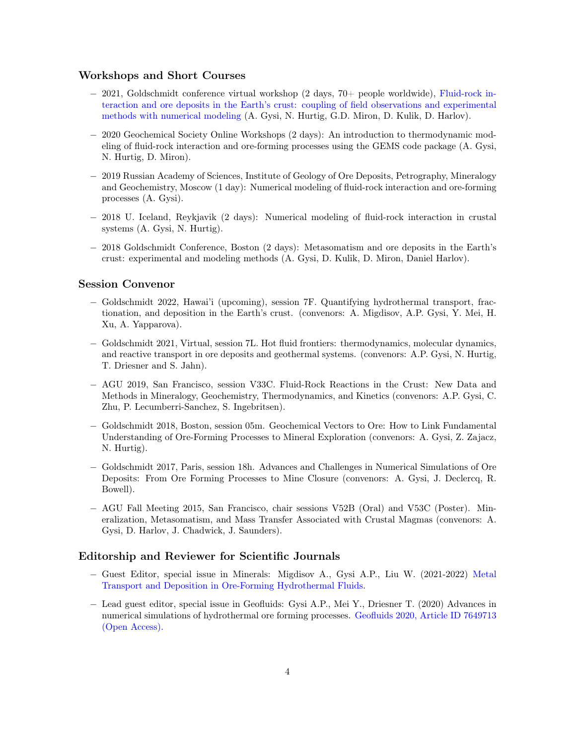## Workshops and Short Courses

- − 2021, Goldschmidt conference virtual workshop (2 days, 70+ people worldwide), [Fluid-rock in](https://2021.goldschmidt.info/goldschmidt/2021/meetingapp.cgi/Session/1903)[teraction and ore deposits in the Earth's crust: coupling of field observations and experimental](https://2021.goldschmidt.info/goldschmidt/2021/meetingapp.cgi/Session/1903) [methods with numerical modeling](https://2021.goldschmidt.info/goldschmidt/2021/meetingapp.cgi/Session/1903) (A. Gysi, N. Hurtig, G.D. Miron, D. Kulik, D. Harlov).
- − 2020 Geochemical Society Online Workshops (2 days): An introduction to thermodynamic modeling of fluid-rock interaction and ore-forming processes using the GEMS code package (A. Gysi, N. Hurtig, D. Miron).
- − 2019 Russian Academy of Sciences, Institute of Geology of Ore Deposits, Petrography, Mineralogy and Geochemistry, Moscow (1 day): Numerical modeling of fluid-rock interaction and ore-forming processes (A. Gysi).
- − 2018 U. Iceland, Reykjavik (2 days): Numerical modeling of fluid-rock interaction in crustal systems (A. Gysi, N. Hurtig).
- − 2018 Goldschmidt Conference, Boston (2 days): Metasomatism and ore deposits in the Earth's crust: experimental and modeling methods (A. Gysi, D. Kulik, D. Miron, Daniel Harlov).

## Session Convenor

- − Goldschmidt 2022, Hawai'i (upcoming), session 7F. Quantifying hydrothermal transport, fractionation, and deposition in the Earth's crust. (convenors: A. Migdisov, A.P. Gysi, Y. Mei, H. Xu, A. Yapparova).
- − Goldschmidt 2021, Virtual, session 7L. Hot fluid frontiers: thermodynamics, molecular dynamics, and reactive transport in ore deposits and geothermal systems. (convenors: A.P. Gysi, N. Hurtig, T. Driesner and S. Jahn).
- − AGU 2019, San Francisco, session V33C. Fluid-Rock Reactions in the Crust: New Data and Methods in Mineralogy, Geochemistry, Thermodynamics, and Kinetics (convenors: A.P. Gysi, C. Zhu, P. Lecumberri-Sanchez, S. Ingebritsen).
- − Goldschmidt 2018, Boston, session 05m. Geochemical Vectors to Ore: How to Link Fundamental Understanding of Ore-Forming Processes to Mineral Exploration (convenors: A. Gysi, Z. Zajacz, N. Hurtig).
- − Goldschmidt 2017, Paris, session 18h. Advances and Challenges in Numerical Simulations of Ore Deposits: From Ore Forming Processes to Mine Closure (convenors: A. Gysi, J. Declercq, R. Bowell).
- − AGU Fall Meeting 2015, San Francisco, chair sessions V52B (Oral) and V53C (Poster). Mineralization, Metasomatism, and Mass Transfer Associated with Crustal Magmas (convenors: A. Gysi, D. Harlov, J. Chadwick, J. Saunders).

## Editorship and Reviewer for Scientific Journals

- − Guest Editor, special issue in Minerals: Migdisov A., Gysi A.P., Liu W. (2021-2022) [Metal](ttps://www.mdpi.com/journal/minerals/special_issues/Ore_Forming_Fluids) [Transport and Deposition in Ore-Forming Hydrothermal Fluids.](ttps://www.mdpi.com/journal/minerals/special_issues/Ore_Forming_Fluids)
- − Lead guest editor, special issue in Geofluids: Gysi A.P., Mei Y., Driesner T. (2020) Advances in numerical simulations of hydrothermal ore forming processes. [Geofluids 2020, Article ID 7649713]( https://doi.org/10.1155/2020/7649713) [\(Open Access\).]( https://doi.org/10.1155/2020/7649713)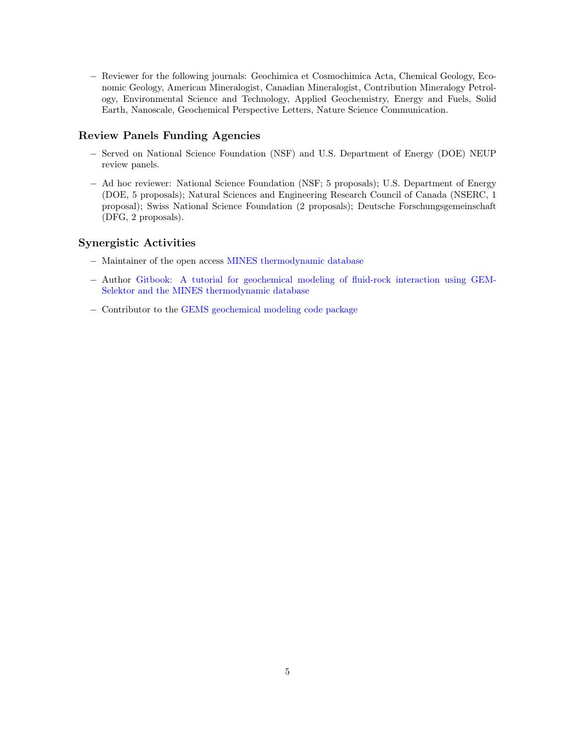− Reviewer for the following journals: Geochimica et Cosmochimica Acta, Chemical Geology, Economic Geology, American Mineralogist, Canadian Mineralogist, Contribution Mineralogy Petrology, Environmental Science and Technology, Applied Geochemistry, Energy and Fuels, Solid Earth, Nanoscale, Geochemical Perspective Letters, Nature Science Communication.

## Review Panels Funding Agencies

- − Served on National Science Foundation (NSF) and U.S. Department of Energy (DOE) NEUP review panels.
- − Ad hoc reviewer: National Science Foundation (NSF; 5 proposals); U.S. Department of Energy (DOE, 5 proposals); Natural Sciences and Engineering Research Council of Canada (NSERC, 1 proposal); Swiss National Science Foundation (2 proposals); Deutsche Forschungsgemeinschaft (DFG, 2 proposals).

## Synergistic Activities

- − Maintainer of the open access [MINES thermodynamic database](https://geoinfo.nmt.edu/mines-tdb//index.html)
- − Author [Gitbook: A tutorial for geochemical modeling of fluid-rock interaction using GEM-](https://apgysi.github.io/gems-mines-tutorial/)[Selektor and the MINES thermodynamic database](https://apgysi.github.io/gems-mines-tutorial/)
- − Contributor to the [GEMS geochemical modeling code package](http://gems.web.psi.ch/)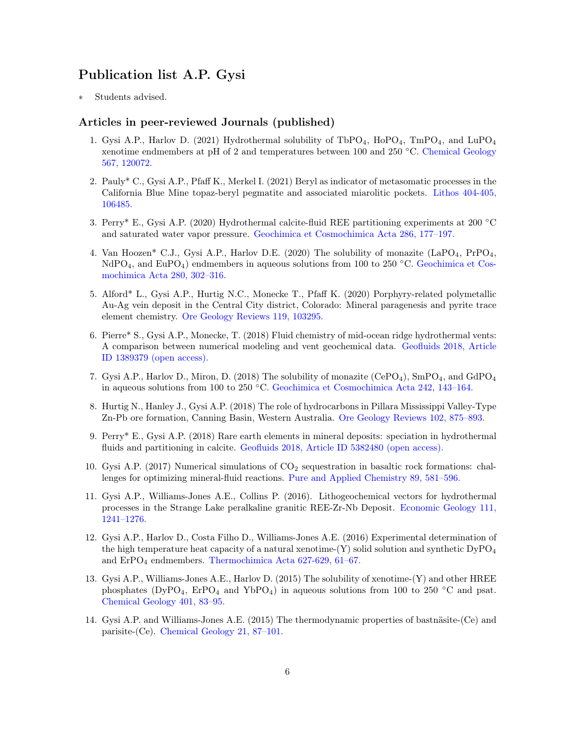## Publication list A.P. Gysi

Students advised.

## Articles in peer-reviewed Journals (published)

- 1. Gysi A.P., Harlov D. (2021) Hydrothermal solubility of TbPO<sub>4</sub>, HoPO<sub>4</sub>, TmPO<sub>4</sub>, and LuPO<sub>4</sub> xenotime endmembers at pH of 2 and temperatures between 100 and 250 °C. [Chemical Geology](https://doi.org/10.1016/j.chemgeo.2021.120072) [567, 120072.](https://doi.org/10.1016/j.chemgeo.2021.120072)
- 2. Pauly\* C., Gysi A.P., Pfaff K., Merkel I. (2021) Beryl as indicator of metasomatic processes in the California Blue Mine topaz-beryl pegmatite and associated miarolitic pockets. [Lithos 404-405,](https://doi.org/10.1016/j.lithos.2021.106485) [106485.](https://doi.org/10.1016/j.lithos.2021.106485)
- 3. Perry\* E., Gysi A.P. (2020) Hydrothermal calcite-fluid REE partitioning experiments at 200 ◦C and saturated water vapor pressure. [Geochimica et Cosmochimica Acta 286, 177–197.](https://doi.org/10.1016/j.gca.2020.07.018)
- 4. Van Hoozen\* C.J., Gysi A.P., Harlov D.E. (2020) The solubility of monazite (LaPO4, PrPO4, NdPO<sub>4</sub>, and EuPO<sub>4</sub>) endmembers in aqueous solutions from 100 to 250 °C. [Geochimica et Cos](https://doi.org/10.1016/j.gca.2020.04.019)[mochimica Acta 280, 302–316.](https://doi.org/10.1016/j.gca.2020.04.019)
- 5. Alford\* L., Gysi A.P., Hurtig N.C., Monecke T., Pfaff K. (2020) Porphyry-related polymetallic Au-Ag vein deposit in the Central City district, Colorado: Mineral paragenesis and pyrite trace element chemistry. [Ore Geology Reviews 119, 103295.](https://doi.org/10.1016/j.oregeorev.2019.103295)
- 6. Pierre\* S., Gysi A.P., Monecke, T. (2018) Fluid chemistry of mid-ocean ridge hydrothermal vents: A comparison between numerical modeling and vent geochemical data. [Geofluids 2018, Article](https://doi.org/10.1155/2018/1389379) [ID 1389379 \(open access\).](https://doi.org/10.1155/2018/1389379)
- 7. Gysi A.P., Harlov D., Miron, D. (2018) The solubility of monazite (CePO<sub>4</sub>), SmPO<sub>4</sub>, and GdPO<sub>4</sub> in aqueous solutions from 100 to 250 ◦C. [Geochimica et Cosmochimica Acta 242, 143–164.](https://doi.org/10.1016/j.gca.2018.08.038)
- 8. Hurtig N., Hanley J., Gysi A.P. (2018) The role of hydrocarbons in Pillara Mississippi Valley-Type Zn-Pb ore formation, Canning Basin, Western Australia. [Ore Geology Reviews 102, 875–893.](https://doi.org/10.1016/j.oregeorev.2018.09.012)
- 9. Perry\* E., Gysi A.P. (2018) Rare earth elements in mineral deposits: speciation in hydrothermal fluids and partitioning in calcite. [Geofluids 2018, Article ID 5382480 \(open access\).](https://doi.org/10.1155/2018/5382480)
- 10. Gysi A.P. (2017) Numerical simulations of  $CO<sub>2</sub>$  sequestration in basaltic rock formations: challenges for optimizing mineral-fluid reactions. [Pure and Applied Chemistry 89, 581–596.](https://doi.org/10.1515/pac-2016-1016)
- 11. Gysi A.P., Williams-Jones A.E., Collins P. (2016). Lithogeochemical vectors for hydrothermal processes in the Strange Lake peralkaline granitic REE-Zr-Nb Deposit. [Economic Geology 111,](http://dx.doi.org/10.2113/econgeo.111.5.1241) [1241–1276.](http://dx.doi.org/10.2113/econgeo.111.5.1241)
- 12. Gysi A.P., Harlov D., Costa Filho D., Williams-Jones A.E. (2016) Experimental determination of the high temperature heat capacity of a natural xenotime- $(Y)$  solid solution and synthetic  $DyPO<sub>4</sub>$ and  $ErPO<sub>4</sub>$  endmembers. Thermochimica Acta 627-629, 61-67.
- 13. Gysi A.P., Williams-Jones A.E., Harlov D. (2015) The solubility of xenotime-(Y) and other HREE phosphates (DyPO<sub>4</sub>, ErPO<sub>4</sub> and YbPO<sub>4</sub>) in aqueous solutions from 100 to 250 °C and psat. [Chemical Geology 401, 83–95.](http://dx.doi.org/10.1016/j.chemgeo.2015.02.023)
- 14. Gysi A.P. and Williams-Jones A.E. (2015) The thermodynamic properties of bastnäsite-(Ce) and parisite-(Ce). [Chemical Geology 21, 87–101.](http://dx.doi.org/10.1016/j.chemgeo.2014.11.001)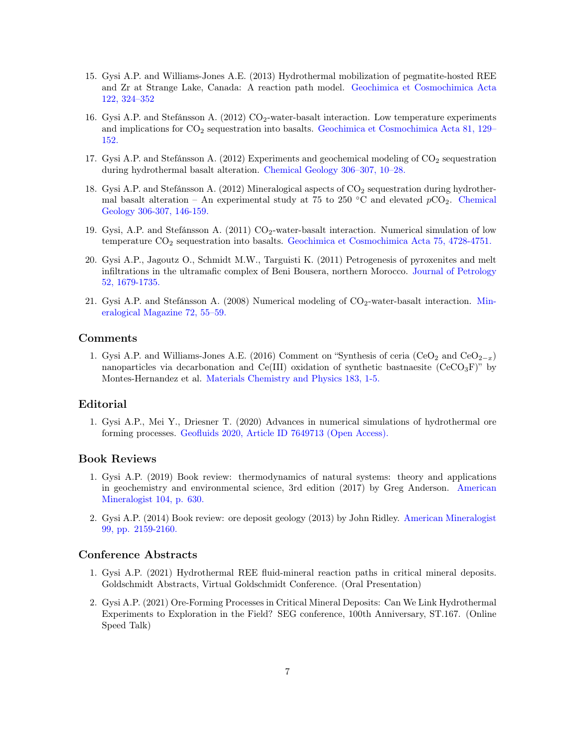- 15. Gysi A.P. and Williams-Jones A.E. (2013) Hydrothermal mobilization of pegmatite-hosted REE and Zr at Strange Lake, Canada: A reaction path model. [Geochimica et Cosmochimica Acta](https://doi.org/10.1016/j.gca.2013.08.031) [122, 324–352](https://doi.org/10.1016/j.gca.2013.08.031)
- 16. Gysi A.P. and Stefánsson A. (2012)  $CO<sub>2</sub>$ -water-basalt interaction. Low temperature experiments and implications for  $CO_2$  sequestration into basalts. [Geochimica et Cosmochimica Acta 81, 129–](http://dx.doi.org/10.1016/j.gca.2011.12.012) [152.](http://dx.doi.org/10.1016/j.gca.2011.12.012)
- 17. Gysi A.P. and Stefánsson A. (2012) Experiments and geochemical modeling of  $CO<sub>2</sub>$  sequestration during hydrothermal basalt alteration. [Chemical Geology 306–307, 10–28.](http://dx.doi.org/10.1016/j.chemgeo.2012.02.016)
- 18. Gysi A.P. and Stefánsson A. (2012) Mineralogical aspects of  $CO<sub>2</sub>$  sequestration during hydrothermal basalt alteration – An experimental study at 75 to 250 °C and elevated  $pCO_2$ . [Chemical](http://dx.doi.org/10.1016/j.chemgeo.2012.03.006) [Geology 306-307, 146-159.](http://dx.doi.org/10.1016/j.chemgeo.2012.03.006)
- 19. Gysi, A.P. and Stefánsson A. (2011)  $CO_2$ -water-basalt interaction. Numerical simulation of low temperature CO<sup>2</sup> sequestration into basalts. [Geochimica et Cosmochimica Acta 75, 4728-4751.](http://dx.doi.org/10.1016/j.gca.2011.05.037)
- 20. Gysi A.P., Jagoutz O., Schmidt M.W., Targuisti K. (2011) Petrogenesis of pyroxenites and melt infiltrations in the ultramafic complex of Beni Bousera, northern Morocco. [Journal of Petrology](https://doi.org/10.1093/petrology/egr026) [52, 1679-1735.](https://doi.org/10.1093/petrology/egr026)
- 21. Gysi A.P. and Stefánsson A.  $(2008)$  Numerical modeling of  $CO<sub>2</sub>$ -water-basalt interaction. [Min](https://doi.org/10.1180/minmag.2008.072.1.55)[eralogical Magazine 72, 55–59.](https://doi.org/10.1180/minmag.2008.072.1.55)

## Comments

1. Gysi A.P. and Williams-Jones A.E. (2016) Comment on "Synthesis of ceria (CeO<sub>2</sub> and CeO<sub>2-x</sub>) nanoparticles via decarbonation and  $Ce(III)$  oxidation of synthetic bastnaesite  $(CeCO<sub>3</sub>F)$ " by Montes-Hernandez et al. [Materials Chemistry and Physics 183, 1-5.](http://dx.doi.org/10.1016/j.matchemphys.2016.08.003)

#### Editorial

1. Gysi A.P., Mei Y., Driesner T. (2020) Advances in numerical simulations of hydrothermal ore forming processes. [Geofluids 2020, Article ID 7649713 \(Open Access\).]( https://doi.org/10.1155/2020/7649713)

#### Book Reviews

- 1. Gysi A.P. (2019) Book review: thermodynamics of natural systems: theory and applications in geochemistry and environmental science, 3rd edition (2017) by Greg Anderson. [American](https://doi.org/10.2138/am-2019-687) [Mineralogist 104, p. 630.](https://doi.org/10.2138/am-2019-687)
- 2. Gysi A.P. (2014) Book review: ore deposit geology (2013) by John Ridley. [American Mineralogist](http://doi.org/10.2138/am-2014-651) [99, pp. 2159-2160.](http://doi.org/10.2138/am-2014-651)

#### Conference Abstracts

- 1. Gysi A.P. (2021) Hydrothermal REE fluid-mineral reaction paths in critical mineral deposits. Goldschmidt Abstracts, Virtual Goldschmidt Conference. (Oral Presentation)
- 2. Gysi A.P. (2021) Ore-Forming Processes in Critical Mineral Deposits: Can We Link Hydrothermal Experiments to Exploration in the Field? SEG conference, 100th Anniversary, ST.167. (Online Speed Talk)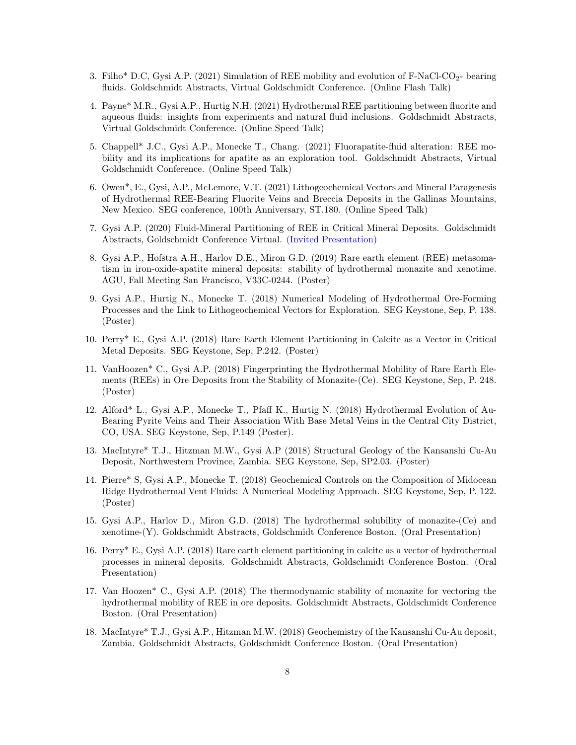- 3. Filho\* D.C, Gysi A.P. (2021) Simulation of REE mobility and evolution of F-NaCl-CO<sub>2</sub>- bearing fluids. Goldschmidt Abstracts, Virtual Goldschmidt Conference. (Online Flash Talk)
- 4. Payne\* M.R., Gysi A.P., Hurtig N.H. (2021) Hydrothermal REE partitioning between fluorite and aqueous fluids: insights from experiments and natural fluid inclusions. Goldschmidt Abstracts, Virtual Goldschmidt Conference. (Online Speed Talk)
- 5. Chappell\* J.C., Gysi A.P., Monecke T., Chang. (2021) Fluorapatite-fluid alteration: REE mobility and its implications for apatite as an exploration tool. Goldschmidt Abstracts, Virtual Goldschmidt Conference. (Online Speed Talk)
- 6. Owen\*, E., Gysi, A.P., McLemore, V.T. (2021) Lithogeochemical Vectors and Mineral Paragenesis of Hydrothermal REE-Bearing Fluorite Veins and Breccia Deposits in the Gallinas Mountains, New Mexico. SEG conference, 100th Anniversary, ST.180. (Online Speed Talk)
- 7. Gysi A.P. (2020) Fluid-Mineral Partitioning of REE in Critical Mineral Deposits. Goldschmidt Abstracts, Goldschmidt Conference Virtual. [\(Invited Presentation\)](https://doi.org/10.46427/gold2020.920)
- 8. Gysi A.P., Hofstra A.H., Harlov D.E., Miron G.D. (2019) Rare earth element (REE) metasomatism in iron-oxide-apatite mineral deposits: stability of hydrothermal monazite and xenotime. AGU, Fall Meeting San Francisco, V33C-0244. (Poster)
- 9. Gysi A.P., Hurtig N., Monecke T. (2018) Numerical Modeling of Hydrothermal Ore-Forming Processes and the Link to Lithogeochemical Vectors for Exploration. SEG Keystone, Sep, P. 138. (Poster)
- 10. Perry\* E., Gysi A.P. (2018) Rare Earth Element Partitioning in Calcite as a Vector in Critical Metal Deposits. SEG Keystone, Sep, P.242. (Poster)
- 11. VanHoozen\* C., Gysi A.P. (2018) Fingerprinting the Hydrothermal Mobility of Rare Earth Elements (REEs) in Ore Deposits from the Stability of Monazite-(Ce). SEG Keystone, Sep, P. 248. (Poster)
- 12. Alford\* L., Gysi A.P., Monecke T., Pfaff K., Hurtig N. (2018) Hydrothermal Evolution of Au-Bearing Pyrite Veins and Their Association With Base Metal Veins in the Central City District, CO, USA. SEG Keystone, Sep, P.149 (Poster).
- 13. MacIntyre\* T.J., Hitzman M.W., Gysi A.P (2018) Structural Geology of the Kansanshi Cu-Au Deposit, Northwestern Province, Zambia. SEG Keystone, Sep, SP2.03. (Poster)
- 14. Pierre\* S, Gysi A.P., Monecke T. (2018) Geochemical Controls on the Composition of Midocean Ridge Hydrothermal Vent Fluids: A Numerical Modeling Approach. SEG Keystone, Sep, P. 122. (Poster)
- 15. Gysi A.P., Harlov D., Miron G.D. (2018) The hydrothermal solubility of monazite-(Ce) and xenotime-(Y). Goldschmidt Abstracts, Goldschmidt Conference Boston. (Oral Presentation)
- 16. Perry\* E., Gysi A.P. (2018) Rare earth element partitioning in calcite as a vector of hydrothermal processes in mineral deposits. Goldschmidt Abstracts, Goldschmidt Conference Boston. (Oral Presentation)
- 17. Van Hoozen\* C., Gysi A.P. (2018) The thermodynamic stability of monazite for vectoring the hydrothermal mobility of REE in ore deposits. Goldschmidt Abstracts, Goldschmidt Conference Boston. (Oral Presentation)
- 18. MacIntyre\* T.J., Gysi A.P., Hitzman M.W. (2018) Geochemistry of the Kansanshi Cu-Au deposit, Zambia. Goldschmidt Abstracts, Goldschmidt Conference Boston. (Oral Presentation)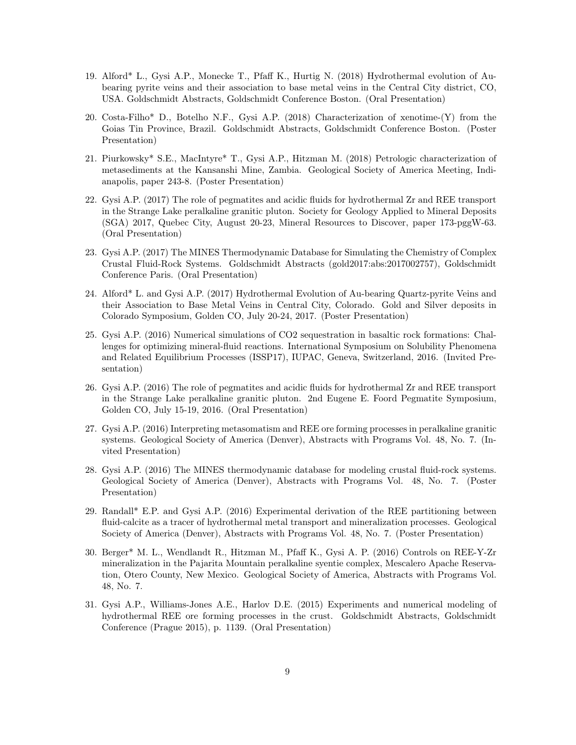- 19. Alford\* L., Gysi A.P., Monecke T., Pfaff K., Hurtig N. (2018) Hydrothermal evolution of Aubearing pyrite veins and their association to base metal veins in the Central City district, CO, USA. Goldschmidt Abstracts, Goldschmidt Conference Boston. (Oral Presentation)
- 20. Costa-Filho\* D., Botelho N.F., Gysi A.P. (2018) Characterization of xenotime-(Y) from the Goias Tin Province, Brazil. Goldschmidt Abstracts, Goldschmidt Conference Boston. (Poster Presentation)
- 21. Piurkowsky\* S.E., MacIntyre\* T., Gysi A.P., Hitzman M. (2018) Petrologic characterization of metasediments at the Kansanshi Mine, Zambia. Geological Society of America Meeting, Indianapolis, paper 243-8. (Poster Presentation)
- 22. Gysi A.P. (2017) The role of pegmatites and acidic fluids for hydrothermal Zr and REE transport in the Strange Lake peralkaline granitic pluton. Society for Geology Applied to Mineral Deposits (SGA) 2017, Quebec City, August 20-23, Mineral Resources to Discover, paper 173-pggW-63. (Oral Presentation)
- 23. Gysi A.P. (2017) The MINES Thermodynamic Database for Simulating the Chemistry of Complex Crustal Fluid-Rock Systems. Goldschmidt Abstracts (gold2017:abs:2017002757), Goldschmidt Conference Paris. (Oral Presentation)
- 24. Alford\* L. and Gysi A.P. (2017) Hydrothermal Evolution of Au-bearing Quartz-pyrite Veins and their Association to Base Metal Veins in Central City, Colorado. Gold and Silver deposits in Colorado Symposium, Golden CO, July 20-24, 2017. (Poster Presentation)
- 25. Gysi A.P. (2016) Numerical simulations of CO2 sequestration in basaltic rock formations: Challenges for optimizing mineral-fluid reactions. International Symposium on Solubility Phenomena and Related Equilibrium Processes (ISSP17), IUPAC, Geneva, Switzerland, 2016. (Invited Presentation)
- 26. Gysi A.P. (2016) The role of pegmatites and acidic fluids for hydrothermal Zr and REE transport in the Strange Lake peralkaline granitic pluton. 2nd Eugene E. Foord Pegmatite Symposium, Golden CO, July 15-19, 2016. (Oral Presentation)
- 27. Gysi A.P. (2016) Interpreting metasomatism and REE ore forming processes in peralkaline granitic systems. Geological Society of America (Denver), Abstracts with Programs Vol. 48, No. 7. (Invited Presentation)
- 28. Gysi A.P. (2016) The MINES thermodynamic database for modeling crustal fluid-rock systems. Geological Society of America (Denver), Abstracts with Programs Vol. 48, No. 7. (Poster Presentation)
- 29. Randall\* E.P. and Gysi A.P. (2016) Experimental derivation of the REE partitioning between fluid-calcite as a tracer of hydrothermal metal transport and mineralization processes. Geological Society of America (Denver), Abstracts with Programs Vol. 48, No. 7. (Poster Presentation)
- 30. Berger\* M. L., Wendlandt R., Hitzman M., Pfaff K., Gysi A. P. (2016) Controls on REE-Y-Zr mineralization in the Pajarita Mountain peralkaline syentie complex, Mescalero Apache Reservation, Otero County, New Mexico. Geological Society of America, Abstracts with Programs Vol. 48, No. 7.
- 31. Gysi A.P., Williams-Jones A.E., Harlov D.E. (2015) Experiments and numerical modeling of hydrothermal REE ore forming processes in the crust. Goldschmidt Abstracts, Goldschmidt Conference (Prague 2015), p. 1139. (Oral Presentation)